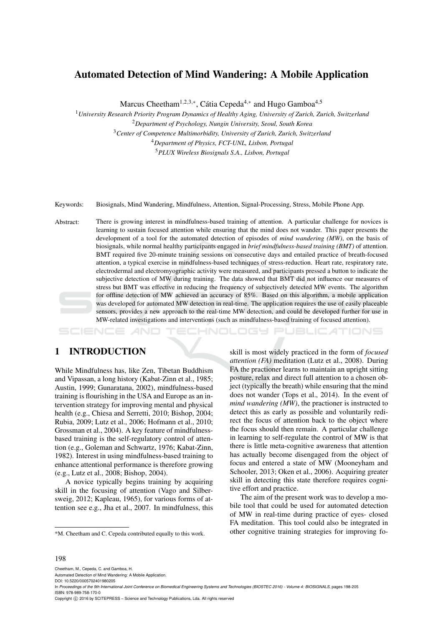# Automated Detection of Mind Wandering: A Mobile Application

Marcus Cheetham<sup>1,2,3,\*</sup>, Cátia Cepeda<sup>4,\*</sup> and Hugo Gamboa<sup>4,5</sup>

*University Research Priority Program Dynamics of Healthy Aging, University of Zurich, Zurich, Switzerland Department of Psychology, Nungin University, Seoul, South Korea Center of Competence Multimorbidity, University of Zurich, Zurich, Switzerland Department of Physics, FCT-UNL, Lisbon, Portugal PLUX Wireless Biosignals S.A., Lisbon, Portugal*

Keywords: Biosignals, Mind Wandering, Mindfulness, Attention, Signal-Processing, Stress, Mobile Phone App.

Abstract: There is growing interest in mindfulness-based training of attention. A particular challenge for novices is learning to sustain focused attention while ensuring that the mind does not wander. This paper presents the development of a tool for the automated detection of episodes of *mind wandering (MW)*, on the basis of biosignals, while normal healthy participants engaged in *brief mindfulness-based training (BMT)* of attention. BMT required five 20-minute training sessions on consecutive days and entailed practice of breath-focused attention, a typical exercise in mindfulness-based techniques of stress-reduction. Heart rate, respiratory rate, electrodermal and electromyographic activity were measured, and participants pressed a button to indicate the subjective detection of MW during training. The data showed that BMT did not influence our measures of stress but BMT was effective in reducing the frequency of subjectively detected MW events. The algorithm for offline detection of MW achieved an accuracy of 85%. Based on this algorithm, a mobile application was developed for automated MW detection in real-time. The application requires the use of easily placeable sensors, provides a new approach to the real-time MW detection, and could be developed further for use in MW-related investigations and interventions (such as mindfulness-based training of focused attention).

-INOLOGY JBLIC ATIONS

## 1 INTRODUCTION

While Mindfulness has, like Zen, Tibetan Buddhism and Vipassan, a long history (Kabat-Zinn et al., 1985; Austin, 1999; Gunaratana, 2002), mindfulness-based training is flourishing in the USA and Europe as an intervention strategy for improving mental and physical health (e.g., Chiesa and Serretti, 2010; Bishop, 2004; Rubia, 2009; Lutz et al., 2006; Hofmann et al., 2010; Grossman et al., 2004). A key feature of mindfulnessbased training is the self-regulatory control of attention (e.g., Goleman and Schwartz, 1976; Kabat-Zinn, 1982). Interest in using mindfulness-based training to enhance attentional performance is therefore growing (e.g., Lutz et al., 2008; Bishop, 2004).

A novice typically begins training by acquiring skill in the focusing of attention (Vago and Silbersweig, 2012; Kapleau, 1965), for various forms of attention see e.g., Jha et al., 2007. In mindfulness, this

skill is most widely practiced in the form of *focused attention (FA)* meditation (Lutz et al., 2008). During FA the practioner learns to maintain an upright sitting posture, relax and direct full attention to a chosen object (typically the breath) while ensuring that the mind does not wander (Tops et al., 2014). In the event of *mind wandering (MW)*, the practioner is instructed to detect this as early as possible and voluntarily redirect the focus of attention back to the object where the focus should then remain. A particular challenge in learning to self-regulate the control of MW is that there is little meta-cognitive awareness that attention has actually become disengaged from the object of focus and entered a state of MW (Mooneyham and Schooler, 2013; Oken et al., 2006). Acquiring greater skill in detecting this state therefore requires cognitive effort and practice.

The aim of the present work was to develop a mobile tool that could be used for automated detection of MW in real-time during practice of eyes- closed FA meditation. This tool could also be integrated in other cognitive training strategies for improving fo-

#### 198

Cheetham, M., Cepeda, C. and Gamboa, H.

<sup>\*</sup>M. Cheetham and C. Cepeda contributed equally to this work.

Automated Detection of Mind Wandering: A Mobile Application. DOI: 10.5220/0005702401980205

In *Proceedings of the 9th International Joint Conference on Biomedical Engineering Systems and Technologies (BIOSTEC 2016) - Volume 4: BIOSIGNALS*, pages 198-205 ISBN: 978-989-758-170-0

Copyright © 2016 by SCITEPRESS - Science and Technology Publications, Lda. All rights reserved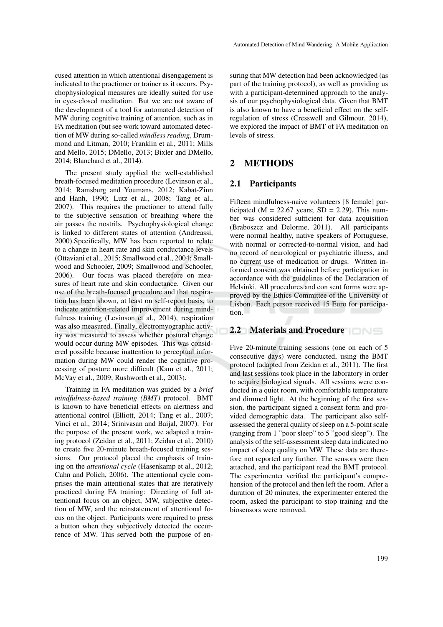cused attention in which attentional disengagement is indicated to the practioner or trainer as it occurs. Psychophysiological measures are ideally suited for use in eyes-closed meditation. But we are not aware of the development of a tool for automated detection of MW during cognitive training of attention, such as in FA meditation (but see work toward automated detection of MW during so-called *mindless reading*, Drummond and Litman, 2010; Franklin et al., 2011; Mills and Mello, 2015; DMello, 2013; Bixler and DMello, 2014; Blanchard et al., 2014).

The present study applied the well-established breath-focused meditation procedure (Levinson et al., 2014; Ramsburg and Youmans, 2012; Kabat-Zinn and Hanh, 1990; Lutz et al., 2008; Tang et al., 2007). This requires the practioner to attend fully to the subjective sensation of breathing where the air passes the nostrils. Psychophysiological change is linked to different states of attention (Andreassi, 2000).Specifically, MW has been reported to relate to a change in heart rate and skin conductance levels (Ottaviani et al., 2015; Smallwood et al., 2004; Smallwood and Schooler, 2009; Smallwood and Schooler, 2006). Our focus was placed therefore on measures of heart rate and skin conductance. Given our use of the breath-focused procedure and that respiration has been shown, at least on self-report basis, to indicate attention-related improvement during mindfulness training (Levinson et al., 2014), respiration was also measured. Finally, electromyographic activity was measured to assess whether postural change would occur during MW episodes. This was considered possible because inattention to perceptual information during MW could render the cognitive processing of posture more difficult (Kam et al., 2011; McVay et al., 2009; Rushworth et al., 2003).

Training in FA meditation was guided by a *brief mindfulness-based training (BMT)* protocol. BMT is known to have beneficial effects on alertness and attentional control (Elliott, 2014; Tang et al., 2007; Vinci et al., 2014; Srinivasan and Baijal, 2007). For the purpose of the present work, we adapted a training protocol (Zeidan et al., 2011; Zeidan et al., 2010) to create five 20-minute breath-focused training sessions. Our protocol placed the emphasis of training on the *attentional cycle* (Hasenkamp et al., 2012; Cahn and Polich, 2006). The attentional cycle comprises the main attentional states that are iteratively practiced during FA training: Directing of full attentional focus on an object, MW, subjective detection of MW, and the reinstatement of attentional focus on the object. Participants were required to press a button when they subjectively detected the occurrence of MW. This served both the purpose of en-

suring that MW detection had been acknowledged (as part of the training protocol), as well as providing us with a participant-determined approach to the analysis of our psychophysiological data. Given that BMT is also known to have a beneficial effect on the selfregulation of stress (Cresswell and Gilmour, 2014), we explored the impact of BMT of FA meditation on levels of stress.

## 2 METHODS

### 2.1 Participants

Fifteen mindfulness-naive volunteers [8 female] participated ( $M = 22.67$  years; SD = 2.29), This number was considered sufficient for data acquisition (Braboszcz and Delorme, 2011). All participants were normal healthy, native speakers of Portuguese, with normal or corrected-to-normal vision, and had no record of neurological or psychiatric illness, and no current use of medication or drugs. Written informed consent was obtained before participation in accordance with the guidelines of the Declaration of Helsinki. All procedures and con sent forms were approved by the Ethics Committee of the University of Lisbon. Each person received 15 Euro for participation.

### 2.2 Materials and Procedure

Five 20-minute training sessions (one on each of 5 consecutive days) were conducted, using the BMT protocol (adapted from Zeidan et al., 2011). The first and last sessions took place in the laboratory in order to acquire biological signals. All sessions were conducted in a quiet room, with comfortable temperature and dimmed light. At the beginning of the first session, the participant signed a consent form and provided demographic data. The participant also selfassessed the general quality of sleep on a 5-point scale (ranging from 1 "poor sleep" to 5 "good sleep"). The analysis of the self-assessment sleep data indicated no impact of sleep quality on MW. These data are therefore not reported any further. The sensors were then attached, and the participant read the BMT protocol. The experimenter verified the participant's comprehension of the protocol and then left the room. After a duration of 20 minutes, the experimenter entered the room, asked the participant to stop training and the biosensors were removed.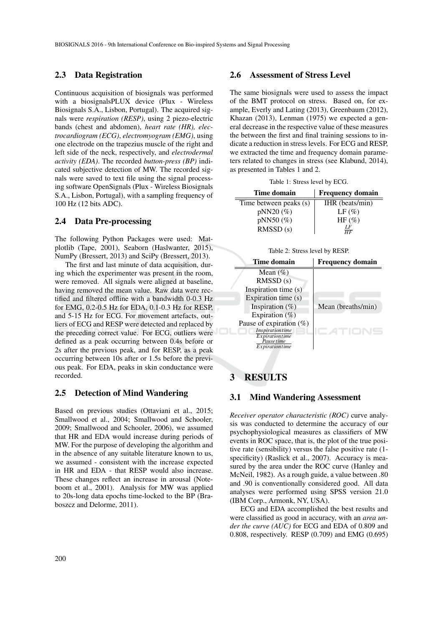#### 2.3 Data Registration

Continuous acquisition of biosignals was performed with a biosignalsPLUX device (Plux - Wireless Biosignals S.A., Lisbon, Portugal). The acquired signals were *respiration (RESP)*, using 2 piezo-electric bands (chest and abdomen), *heart rate (HR), electrocardiogram (ECG)*, *electromyogram (EMG)*, using one electrode on the trapezius muscle of the right and left side of the neck, respectively, and *electrodermal activity (EDA)*. The recorded *button-press (BP)* indicated subjective detection of MW. The recorded signals were saved to text file using the signal processing software OpenSignals (Plux - Wireless Biosignals S.A., Lisbon, Portugal), with a sampling frequency of 100 Hz (12 bits ADC).

#### 2.4 Data Pre-processing

The following Python Packages were used: Matplotlib (Tape, 2001), Seaborn (Haslwanter, 2015), NumPy (Bressert, 2013) and SciPy (Bressert, 2013).

The first and last minute of data acquisition, during which the experimenter was present in the room, were removed. All signals were aligned at baseline, having removed the mean value. Raw data were rectified and filtered offline with a bandwidth 0-0.3 Hz for EMG, 0.2-0.5 Hz for EDA, 0.1-0.3 Hz for RESP, and 5-15 Hz for ECG. For movement artefacts, outliers of ECG and RESP were detected and replaced by the preceding correct value. For ECG, outliers were defined as a peak occurring between 0.4s before or 2s after the previous peak, and for RESP, as a peak occurring between 10s after or 1.5s before the previous peak. For EDA, peaks in skin conductance were recorded.

### 2.5 Detection of Mind Wandering

Based on previous studies (Ottaviani et al., 2015; Smallwood et al., 2004; Smallwood and Schooler, 2009; Smallwood and Schooler, 2006), we assumed that HR and EDA would increase during periods of MW. For the purpose of developing the algorithm and in the absence of any suitable literature known to us, we assumed - consistent with the increase expected in HR and EDA - that RESP would also increase. These changes reflect an increase in arousal (Noteboom et al., 2001). Analysis for MW was applied to 20s-long data epochs time-locked to the BP (Braboszcz and Delorme, 2011).

#### 2.6 Assessment of Stress Level

The same biosignals were used to assess the impact of the BMT protocol on stress. Based on, for example, Everly and Lating (2013), Greenbaum (2012), Khazan (2013), Lenman (1975) we expected a general decrease in the respective value of these measures the between the first and final training sessions to indicate a reduction in stress levels. For ECG and RESP, we extracted the time and frequency domain parameters related to changes in stress (see Klabund, 2014), as presented in Tables 1 and 2.

Table 1: Stress level by ECG.

| Time domain            | <b>Frequency domain</b> |  |
|------------------------|-------------------------|--|
| Time between peaks (s) | IHR (beats/min)         |  |
| $pNN20$ (%)            | $LF(\%)$                |  |
| $pNN50$ (%)            | $HF(\%)$                |  |
| RMSSD(s)               | LF<br>$\overline{HF}$   |  |

Table 2: Stress level by RESP.

| Time domain                       | <b>Frequency domain</b> |
|-----------------------------------|-------------------------|
| Mean $(\% )$                      |                         |
| RMSSD(s)                          |                         |
| Inspiration time (s)              |                         |
| Expiration time (s)               |                         |
| Inspiration $(\%)$                | Mean (breaths/min)      |
| Expiration $(\%)$                 |                         |
| Pause of expiration $(\%)$        |                         |
| Inspirationtime<br>Expirationtime |                         |
| Pause time                        |                         |
|                                   |                         |
| Expirationtime                    |                         |

## 3 RESULTS

### 3.1 Mind Wandering Assessment

*Receiver operator characteristic (ROC)* curve analysis was conducted to determine the accuracy of our psychophysiological measures as classifiers of MW events in ROC space, that is, the plot of the true positive rate (sensibility) versus the false positive rate (1 specificity) (Raslick et al., 2007). Accuracy is measured by the area under the ROC curve (Hanley and McNeil, 1982). As a rough guide, a value between .80 and .90 is conventionally considered good. All data analyses were performed using SPSS version 21.0 (IBM Corp., Armonk, NY, USA).

ECG and EDA accomplished the best results and were classified as good in accuracy, with an *area under the curve (AUC)* for ECG and EDA of 0.809 and 0.808, respectively. RESP (0.709) and EMG (0.695)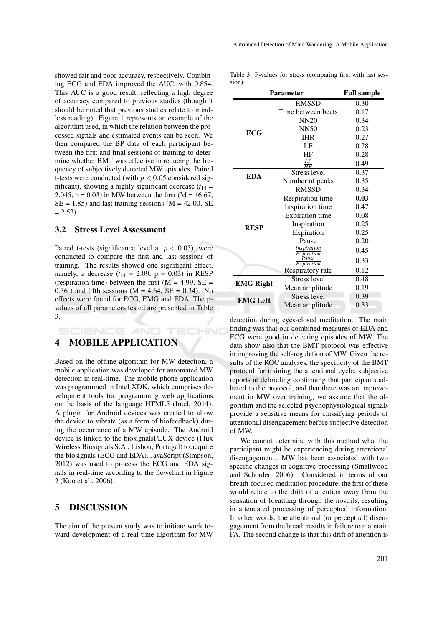showed fair and poor accuracy, respectively. Combining ECG and EDA improved the AUC, with 0.854. This AUC is a good result, reflecting a high degree of accuracy compared to previous studies (though it should be noted that previous studies relate to mindless reading). Figure 1 represents an example of the algorithm used, in which the relation between the processed signals and estimated events can be seen. We then compared the BP data of each participant between the first and final sessions of training to determine whether BMT was effective in reducing the frequency of subjectively detected MW episodes. Paired t-tests were conducted (with  $p < 0.05$  considered significant), showing a highly significant decrease  $(t_{14} =$ 2.045,  $p = 0.03$ ) in MW between the first (M = 46.67,  $SE = 1.85$ ) and last training sessions (M = 42.00, SE  $= 2.53$ ).

#### 3.2 Stress Level Assessment

Paired t-tests (significance level at  $p < 0.05$ ), were conducted to compare the first and last sessions of training. The results showed one significant effect, namely, a decrease  $(t_{14} = 2.09, p = 0.03)$  in RESP (respiration time) between the first  $(M = 4.99, SE =$  $0.36$ ) and fifth sessions (M = 4.64, SE = 0.34). No effects were found for ECG, EMG and EDA. The pvalues of all parameters tested are presented in Table 3.

SCIENCE AND TECHNO

## 4 MOBILE APPLICATION

Based on the offline algorithm for MW detection, a mobile application was developed for automated MW detection in real-time. The mobile phone application was programmed in Intel XDK, which comprises development tools for programming web applications on the basis of the language HTML5 (Intel, 2014). A plugin for Android devices was created to allow the device to vibrate (as a form of biofeedback) during the occurrence of a MW episode. The Android device is linked to the biosignalsPLUX device (Plux Wireless Biosignals S.A., Lisbon, Portugal) to acquire the biosignals (ECG and EDA). JavaScript (Simpson, 2012) was used to process the ECG and EDA signals in real-time according to the flowchart in Figure 2 (Kuo et al., 2006).

### 5 DISCUSSION

The aim of the present study was to initiate work toward development of a real-time algorithm for MW

Table 3: P-values for stress (comparing first with last session).

| <b>Parameter</b> |                           | <b>Full sample</b> |
|------------------|---------------------------|--------------------|
|                  | <b>RMSSD</b>              | $0.\overline{30}$  |
| <b>ECG</b>       | Time between beats        | 0.17               |
|                  | <b>NN20</b>               | 0.34               |
|                  | <b>NN50</b>               | 0.23               |
|                  | <b>IHR</b>                | 0.27               |
|                  | LF                        | 0.28               |
|                  | HF                        | 0.28               |
|                  | $\frac{LF}{HF}$           | 0.49               |
| <b>EDA</b>       | <b>Stress level</b>       | 0.37               |
|                  | Number of peaks           | 0.35               |
| <b>RESP</b>      | <b>RMSSD</b>              | 0.34               |
|                  | Respiration time          | 0.03               |
|                  | Inspiration time          | 0.47               |
|                  | <b>Expiration</b> time    | 0.08               |
|                  | Inspiration               | 0.25               |
|                  | Expiration                | 0.25               |
|                  | Pause                     | 0.20               |
|                  | Inspiration<br>Expiration | 0.45               |
|                  | Pause<br>Expiration       | 0.33               |
|                  | Respiratory rate          | 0.12               |
| <b>EMG Right</b> | <b>Stress level</b>       | 0.48               |
|                  | Mean amplitude            | 0.19               |
| <b>EMG</b> Left  | <b>Stress level</b>       | 0.39               |
|                  | Mean amplitude            | 0.33               |

detection during eyes-closed meditation. The main finding was that our combined measures of EDA and ECG were good in detecting episodes of MW. The data show also that the BMT protocol was effective in improving the self-regulation of MW. Given the results of the ROC analyses, the specificity of the BMT protocol for training the attentional cycle, subjective reports at debriefing confirming that participants adhered to the protocol, and that there was an improvement in MW over training, we assume that the algorithm and the selected psychophysiological signals provide a sensitive means for classifying periods of attentional disengagement before subjective detection of MW.

We cannot determine with this method what the participant might be experiencing during attentional disengagement. MW has been associated with two specific changes in cognitive processing (Smallwood and Schooler, 2006). Considered in terms of our breath-focused meditation procedure, the first of these would relate to the drift of attention away from the sensation of breathing through the nostrils, resulting in attenuated processing of perceptual information. In other words, the attentional (or perceptual) disengagement from the breath results in failure to maintain FA. The second change is that this drift of attention is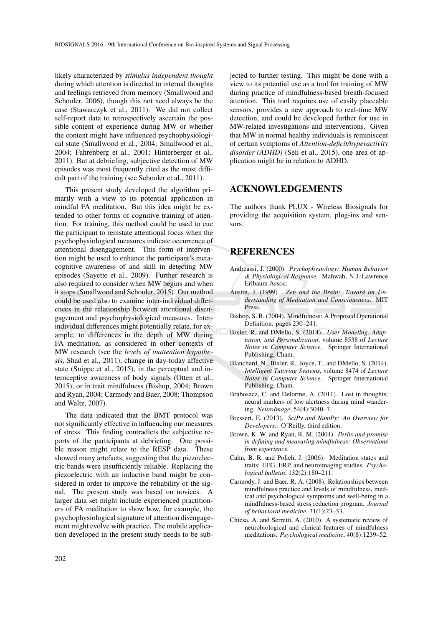likely characterized by *stimulus independent thought* during which attention is directed to internal thoughts and feelings retrieved from memory (Smallwood and Schooler, 2006), though this not need always be the case (Stawarczyk et al., 2011). We did not collect self-report data to retrospectively ascertain the possible content of experience during MW or whether the content might have influenced psychophysiological state (Smallwood et al., 2004; Smallwood et al., 2004; Fahrenberg et al., 2001; Hinterberger et al., 2011). But at debriefing, subjective detection of MW episodes was most frequently cited as the most difficult part of the training (see Schooler et al., 2011).

This present study developed the algorithm primarily with a view to its potential application in mindful FA meditation. But this idea might be extended to other forms of cognitive training of attention. For training, this method could be used to cue the participant to reinstate attentional focus when the psychophysiological measures indicate occurrence of attentional disengagement. This form of intervention might be used to enhance the participant's metacognitive awareness of and skill in detecting MW episodes (Sayette et al., 2009). Further research is also required to consider when MW begins and when it stops (Smallwood and Schooler, 2015). Our method could be used also to examine inter-individual differences in the relationship between attentional disengagement and psychophysiological measures. Interindividual differences might potentially relate, for example, to differences in the depth of MW during FA meditation, as considered in other contexts of MW research (see the *levels of inattention hypothesis*, Shad et al., 2011), change in day-today affective state (Snippe et al., 2015), in the perceptual and interoceptive awareness of body signals (Otten et al., 2015), or in trait mindfulness (Bishop, 2004; Brown and Ryan, 2004; Carmody and Baer, 2008; Thompson and Waltz, 2007).

The data indicated that the BMT protocol was not significantly effective in influencing our measures of stress. This finding contradicts the subjective reports of the participants at debriefing. One possible reason might relate to the RESP data. These showed many artefacts, suggesting that the piezoelectric bands were insufficiently reliable. Replacing the piezoelectric with an inductive band might be considered in order to improve the reliability of the signal. The present study was based on novices. A larger data set might include experienced practitioners of FA meditation to show how, for example, the psychophysiological signature of attention disengagement might evolve with practice. The mobile application developed in the present study needs to be subjected to further testing. This might be done with a view to its potential use as a tool for training of MW during practice of mindfulness-based breath-focused attention. This tool requires use of easily placeable sensors, provides a new approach to real-time MW detection, and could be developed further for use in MW-related investigations and interventions. Given that MW in normal healthy individuals is reminiscent of certain symptoms of *Attention-deficit/hyperactivity disorder (ADHD)* (Seli et al., 2015), one area of application might be in relation to ADHD.

### ACKNOWLEDGEMENTS

The authors thank PLUX - Wireless Biosignals for providing the acquisition system, plug-ins and sensors.

### REFERENCES

- Andreassi, J. (2000). *Psychophysiology: Human Behavior & Physiological Response*. Mahwah, N.J.:Lawrence Erlbaum Assoc.
- Austin, J. (1999). *Zen and the Brain: Toward an Understanding of Meditation and Consciousness*. MIT Press.
- Bishop, S. R. (2004). Mindfulness: A Proposed Operational Definition. pages 230–241.
- Bixler, R. and DMello, S. (2014). *User Modeling, Adaptation, and Personalization*, volume 8538 of *Lecture Notes in Computer Science*. Springer International Publishing, Cham.
- Blanchard, N., Bixler, R., Joyce, T., and DMello, S. (2014). *Intelligent Tutoring Systems*, volume 8474 of *Lecture Notes in Computer Science*. Springer International Publishing, Cham.
- Braboszcz, C. and Delorme, A. (2011). Lost in thoughts: neural markers of low alertness during mind wandering. *NeuroImage*, 54(4):3040–7.
- Bressert, E. (2013). *SciPy and NumPy: An Overview for Developers:*. O'Reilly, third edition.
- Brown, K. W. and Ryan, R. M. (2004). *Perils and promise in defining and measuring mindfulness: Observations from experience.*
- Cahn, B. R. and Polich, J. (2006). Meditation states and traits: EEG, ERP, and neuroimaging studies. *Psychological bulletin*, 132(2):180–211.
- Carmody, J. and Baer, R. A. (2008). Relationships between mindfulness practice and levels of mindfulness, medical and psychological symptoms and well-being in a mindfulness-based stress reduction program. *Journal of behavioral medicine*, 31(1):23–33.
- Chiesa, A. and Serretti, A. (2010). A systematic review of neurobiological and clinical features of mindfulness meditations. *Psychological medicine*, 40(8):1239–52.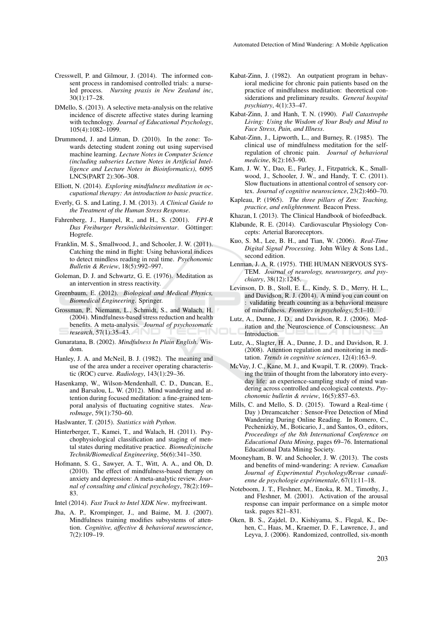- Cresswell, P. and Gilmour, J. (2014). The informed consent process in randomised controlled trials: a nurseled process. *Nursing praxis in New Zealand inc*, 30(1):17–28.
- DMello, S. (2013). A selective meta-analysis on the relative incidence of discrete affective states during learning with technology. *Journal of Educational Psychology*, 105(4):1082–1099.
- Drummond, J. and Litman, D. (2010). In the zone: Towards detecting student zoning out using supervised machine learning. *Lecture Notes in Computer Science (including subseries Lecture Notes in Artificial Intelligence and Lecture Notes in Bioinformatics)*, 6095 LNCS(PART 2):306–308.
- Elliott, N. (2014). *Exploring mindfulness meditation in occupational therapy: An introduction to basic practice*.
- Everly, G. S. and Lating, J. M. (2013). *A Clinical Guide to the Treatment of the Human Stress Response*.
- Fahrenberg, J., Hampel, R., and H., S. (2001). *FPI-R*  $Das$  *Freiburger Persönlichkeitsinventar*. Göttinger: Hogrefe.
- Franklin, M. S., Smallwood, J., and Schooler, J. W. (2011). Catching the mind in flight: Using behavioral indices to detect mindless reading in real time. *Psychonomic Bulletin & Review*, 18(5):992–997.
- Goleman, D. J. and Schwartz, G. E. (1976). Meditation as an intervention in stress reactivity.
- Greenbaum, E. (2012). *Biological and Medical Physics, Biomedical Engineering*. Springer.
- Grossman, P., Niemann, L., Schmidt, S., and Walach, H. (2004). Mindfulness-based stress reduction and health benefits. A meta-analysis. *Journal of psychosomatic research*, 57(1):35–43.
- Gunaratana, B. (2002). *Mindfulness In Plain English*. Wisdom.
- Hanley, J. A. and McNeil, B. J. (1982). The meaning and use of the area under a receiver operating characteristic (ROC) curve. *Radiology*, 143(1):29–36.
- Hasenkamp, W., Wilson-Mendenhall, C. D., Duncan, E., and Barsalou, L. W. (2012). Mind wandering and attention during focused meditation: a fine-grained temporal analysis of fluctuating cognitive states. *NeuroImage*, 59(1):750–60.
- Haslwanter, T. (2015). *Statistics with Python*.
- Hinterberger, T., Kamei, T., and Walach, H. (2011). Psychophysiological classification and staging of mental states during meditative practice. *Biomedizinische Technik/Biomedical Engineering*, 56(6):341–350.
- Hofmann, S. G., Sawyer, A. T., Witt, A. A., and Oh, D. (2010). The effect of mindfulness-based therapy on anxiety and depression: A meta-analytic review. *Journal of consulting and clinical psychology*, 78(2):169– 83.
- Intel (2014). *Fast Track to Intel XDK New*. myfreeiwant.
- Jha, A. P., Krompinger, J., and Baime, M. J. (2007). Mindfulness training modifies subsystems of attention. *Cognitive, affective & behavioral neuroscience*, 7(2):109–19.
- Kabat-Zinn, J. (1982). An outpatient program in behavioral medicine for chronic pain patients based on the practice of mindfulness meditation: theoretical considerations and preliminary results. *General hospital psychiatry*, 4(1):33–47.
- Kabat-Zinn, J. and Hanh, T. N. (1990). *Full Catastrophe Living: Using the Wisdom of Your Body and Mind to Face Stress, Pain, and Illness*.
- Kabat-Zinn, J., Lipworth, L., and Burney, R. (1985). The clinical use of mindfulness meditation for the selfregulation of chronic pain. *Journal of behavioral medicine*, 8(2):163–90.
- Kam, J. W. Y., Dao, E., Farley, J., Fitzpatrick, K., Smallwood, J., Schooler, J. W., and Handy, T. C. (2011). Slow fluctuations in attentional control of sensory cortex. *Journal of cognitive neuroscience*, 23(2):460–70.
- Kapleau, P. (1965). *The three pillars of Zen: Teaching, practice, and enlightenment.* Beacon Press.
- Khazan, I. (2013). The Clinical Handbook of biofeedback.
- Klabunde, R. E. (2014). Cardiovascular Physiology Concepts: Arterial Baroreceptors.
- Kuo, S. M., Lee, B. H., and Tian, W. (2006). *Real-Time Digital Signal Processing*. John Wiley & Sons Ltd., second edition.
- Lenman, J. A. R. (1975). THE HUMAN NERVOUS SYS-TEM. *Journal of neurology, neurosurgery, and psychiatry*, 38(12):1245.
- Levinson, D. B., Stoll, E. L., Kindy, S. D., Merry, H. L., and Davidson, R. J. (2014). A mind you can count on : validating breath counting as a behavioral measure of mindfulness. *Frontiers in psychology*, 5:1–10.
- Lutz, A., Dunne, J. D., and Davidson, R. J. (2006). Meditation and the Neuroscience of Consciousness: An Introduction.
- Lutz, A., Slagter, H. A., Dunne, J. D., and Davidson, R. J. (2008). Attention regulation and monitoring in meditation. *Trends in cognitive sciences*, 12(4):163–9.
- McVay, J. C., Kane, M. J., and Kwapil, T. R. (2009). Tracking the train of thought from the laboratory into everyday life: an experience-sampling study of mind wandering across controlled and ecological contexts. *Psychonomic bulletin & review*, 16(5):857–63.
- Mills, C. and Mello, S. D. (2015). Toward a Real-time ( Day ) Dreamcatcher : Sensor-Free Detection of Mind Wandering During Online Reading. In Romero, C., Pechenizkiy, M., Boticario, J., and Santos, O., editors, *Proceedings of the 8th International Conference on Educational Data Mining*, pages 69–76. International Educational Data Mining Society.
- Mooneyham, B. W. and Schooler, J. W. (2013). The costs and benefits of mind-wandering: A review. *Canadian Journal of Experimental Psychology/Revue canadienne de psychologie expérimentale*, 67(1):11–18.
- Noteboom, J. T., Fleshner, M., Enoka, R. M., Timothy, J., and Fleshner, M. (2001). Activation of the arousal response can impair performance on a simple motor task. pages 821–831.
- Oken, B. S., Zajdel, D., Kishiyama, S., Flegal, K., Dehen, C., Haas, M., Kraemer, D. F., Lawrence, J., and Leyva, J. (2006). Randomized, controlled, six-month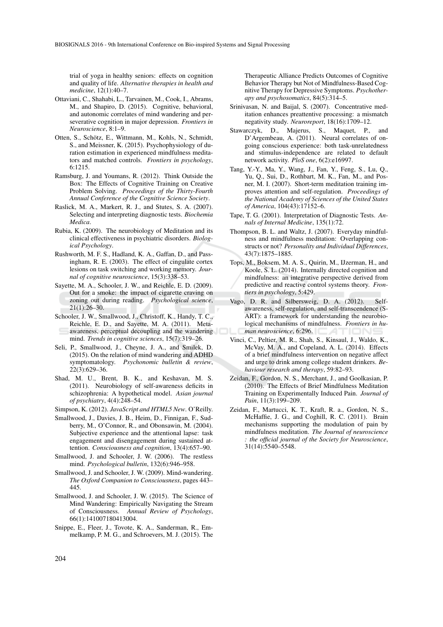trial of yoga in healthy seniors: effects on cognition and quality of life. *Alternative therapies in health and medicine*, 12(1):40–7.

- Ottaviani, C., Shahabi, L., Tarvainen, M., Cook, I., Abrams, M., and Shapiro, D. (2015). Cognitive, behavioral, and autonomic correlates of mind wandering and perseverative cognition in major depression. *Frontiers in Neuroscience*, 8:1–9.
- Otten, S., Schötz, E., Wittmann, M., Kohls, N., Schmidt, S., and Meissner, K. (2015). Psychophysiology of duration estimation in experienced mindfulness meditators and matched controls. *Frontiers in psychology*, 6:1215.
- Ramsburg, J. and Youmans, R. (2012). Think Outside the Box: The Effects of Cognitive Training on Creative Problem Solving. *Proceedings of the Thirty-Fourth Annual Conference of the Cognitive Science Society*.
- Raslick, M. A., Markert, R. J., and Stutes, S. A. (2007). Selecting and interpreting diagnostic tests. *Biochemia Medica*.
- Rubia, K. (2009). The neurobiology of Meditation and its clinical effectiveness in psychiatric disorders. *Biological Psychology*.
- Rushworth, M. F. S., Hadland, K. A., Gaffan, D., and Passingham, R. E. (2003). The effect of cingulate cortex lesions on task switching and working memory. *Journal of cognitive neuroscience*, 15(3):338–53.
- Sayette, M. A., Schooler, J. W., and Reichle, E. D. (2009). Out for a smoke: the impact of cigarette craving on zoning out during reading. *Psychological science*, 21(1):26–30.
- Schooler, J. W., Smallwood, J., Christoff, K., Handy, T. C., Reichle, E. D., and Sayette, M. A. (2011). Metaawareness, perceptual decoupling and the wandering mind. *Trends in cognitive sciences*, 15(7):319–26.
- Seli, P., Smallwood, J., Cheyne, J. A., and Smilek, D. (2015). On the relation of mind wandering and ADHD symptomatology. *Psychonomic bulletin & review*, 22(3):629–36.
- Shad, M. U., Brent, B. K., and Keshavan, M. S. (2011). Neurobiology of self-awareness deficits in schizophrenia: A hypothetical model. *Asian journal of psychiatry*, 4(4):248–54.
- Simpson, K. (2012). *JavaScript and HTML5 New*. O'Reilly.
- Smallwood, J., Davies, J. B., Heim, D., Finnigan, F., Sudberry, M., O'Connor, R., and Obonsawin, M. (2004). Subjective experience and the attentional lapse: task engagement and disengagement during sustained attention. *Consciousness and cognition*, 13(4):657–90.
- Smallwood, J. and Schooler, J. W. (2006). The restless mind. *Psychological bulletin*, 132(6):946–958.
- Smallwood, J. and Schooler, J. W. (2009). Mind-wandering. *The Oxford Companion to Consciousness*, pages 443– 445.
- Smallwood, J. and Schooler, J. W. (2015). The Science of Mind Wandering: Empirically Navigating the Stream of Consciousness. *Annual Review of Psychology*, 66(1):141007180413004.
- Snippe, E., Fleer, J., Tovote, K. A., Sanderman, R., Emmelkamp, P. M. G., and Schroevers, M. J. (2015). The

Therapeutic Alliance Predicts Outcomes of Cognitive Behavior Therapy but Not of Mindfulness-Based Cognitive Therapy for Depressive Symptoms. *Psychotherapy and psychosomatics*, 84(5):314–5.

- Srinivasan, N. and Baijal, S. (2007). Concentrative meditation enhances preattentive processing: a mismatch negativity study. *Neuroreport*, 18(16):1709–12.
- Stawarczyk, D., Majerus, S., Maquet, P., and D'Argembeau, A. (2011). Neural correlates of ongoing conscious experience: both task-unrelatedness and stimulus-independence are related to default network activity. *PloS one*, 6(2):e16997.
- Tang, Y.-Y., Ma, Y., Wang, J., Fan, Y., Feng, S., Lu, Q., Yu, Q., Sui, D., Rothbart, M. K., Fan, M., and Posner, M. I. (2007). Short-term meditation training improves attention and self-regulation. *Proceedings of the National Academy of Sciences of the United States of America*, 104(43):17152–6.
- Tape, T. G. (2001). Interpretation of Diagnostic Tests. *Annals of Internal Medicine*, 135(1):72.
- Thompson, B. L. and Waltz, J. (2007). Everyday mindfulness and mindfulness meditation: Overlapping constructs or not? *Personality and Individual Differences*, 43(7):1875–1885.
- Tops, M., Boksem, M. A. S., Quirin, M., IJzerman, H., and Koole, S. L. (2014). Internally directed cognition and mindfulness: an integrative perspective derived from predictive and reactive control systems theory. *Frontiers in psychology*, 5:429.
- Vago, D. R. and Silbersweig, D. A. (2012). Selfawareness, self-regulation, and self-transcendence (S-ART): a framework for understanding the neurobiological mechanisms of mindfulness. *Frontiers in human neuroscience*, 6:296.
- Vinci, C., Peltier, M. R., Shah, S., Kinsaul, J., Waldo, K., McVay, M. A., and Copeland, A. L. (2014). Effects of a brief mindfulness intervention on negative affect and urge to drink among college student drinkers. *Behaviour research and therapy*, 59:82–93.
- Zeidan, F., Gordon, N. S., Merchant, J., and Goolkasian, P. (2010). The Effects of Brief Mindfulness Meditation Training on Experimentally Induced Pain. *Journal of Pain*, 11(3):199–209.
- Zeidan, F., Martucci, K. T., Kraft, R. a., Gordon, N. S., McHaffie, J. G., and Coghill, R. C. (2011). Brain mechanisms supporting the modulation of pain by mindfulness meditation. *The Journal of neuroscience : the official journal of the Society for Neuroscience*, 31(14):5540–5548.